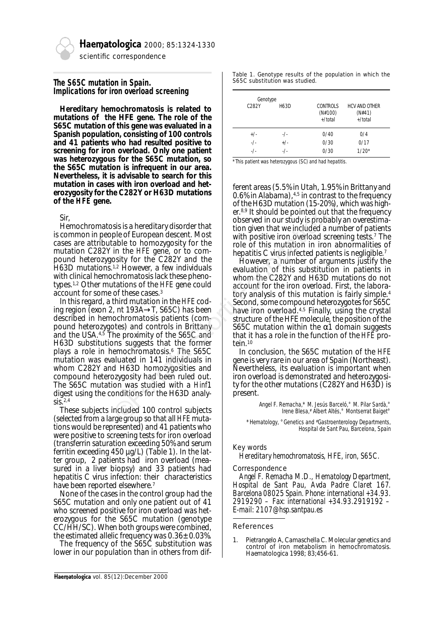

Haematologica 2000; 85:1324-1330

*scientific correspondence*

# **The S65C mutation in Spain. Implications for iron overload screening**

**Hereditary hemochromatosis is related to mutations of the HFE gene. The role of the S65C mutation of this gene was evaluated in a Spanish population, consisting of 100 controls and 41 patients who had resulted positive to screening for iron overload. Only one patient was heterozygous for the S65C mutation, so the S65C mutation is infrequent in our area. Nevertheless, it is advisable to search for this mutation in cases with iron overload and heterozygosity for the C282Y or H63D mutations of the** *HFE* **gene.**

Sir,

Hemochromatosis is a hereditary disorder that is common in people of European descent. Most cases are attributable to homozygosity for the mutation C282Y in the *HFE* gene, or to compound heterozygosity for the C282Y and the H63D mutations.1,2 However, a few individuals with clinical hemochromatosis lack these phenotypes.1,2 Other mutations of the *HFE* gene could account for some of these cases.3

In this regard, a third mutation in the *HFE* coding region (exon 2, nt 193A→T, S65C) has been described in hemochromatosis patients (compound heterozygotes) and controls in Brittany and the USA.<sup>4,5</sup> The proximity of the S65C and H63D substitutions suggests that the former plays a role in hemochromatosis.6 The S65C mutation was evaluated in 141 individuals in whom C282Y and H63D homozygosities and compound heterozygosity had been ruled out. The S65C mutation was studied with a *Hinf*1 digest using the conditions for the H63D analy- $\overline{\text{S}}$ .2,4 sis is a hereditary disorder that<br>
be of European descent. Most<br>
be of European descent. Most<br>
and to homozygosity for the<br>
of the HFE gene, or to com-<br>
in the HFE gene, or to com-<br>
be of this mutation in iron<br>
origin to

These subjects included 100 control subjects (selected from a large group so that all *HFE* mutations would be represented) and 41 patients who were positive to screening tests for iron overload (transferrin saturation exceeding 50% and serum ferritin exceeding 450 µg/L) (Table 1). In the latter group, 2 patients had iron overload (measured in a liver biopsy) and 33 patients had hepatitis C virus infection: their characteristics have been reported elsewhere.7

None of the cases in the control group had the S65C mutation and only one patient out of 41 who screened positive for iron overload was heterozygous for the S65C mutation (genotype CC/HH/SC). When both groups were combined, the estimated allelic frequency was 0.36± 0.03%.

The frequency of the S65C substitution was lower in our population than in others from difTable 1. Genotype results of the population in which the S65C substitution was studied.

| Genotype |           |                                  |                                           |
|----------|-----------|----------------------------------|-------------------------------------------|
| C282Y    | H63D      | CONTROLS<br>(N#100)<br>$+/total$ | <b>HCV AND OTHER</b><br>(N#41)<br>+/total |
| $+/-$    | $-$ / $-$ | 0/40                             | 0/4                                       |
| $-$ /-   | $+/-$     | 0/30                             | 0/17                                      |
| $-$ /-   | $-1$      | 0/30                             | $1/20*$                                   |

*\*This patient was heterozygous (SC) and had hepatitis.*

ferent areas (5.5% in Utah, 1.95% in Brittany and 0.6% in Alabama),  $4.5$  in contrast to the frequency of the H63D mutation (15-20%), which was higher.8,9 It should be pointed out that the frequency observed in our study is probably an overestimation given that we included a number of patients with positive iron overload screening tests.<sup>7</sup> The role of this mutation in iron abnormalities of hepatitis C virus infected patients is negligible.<sup>7</sup>

However, a number of arguments justify the evaluation of this substitution in patients in whom the C282Y and H63D mutations do not account for the iron overload. First, the laboratory analysis of this mutation is fairly simple.4 Second, some compound heterozygotes for S65C have iron overload.<sup>4,5</sup> Finally, using the crystal structure of the HFE molecule, the position of the S65C mutation within the  $α1$  domain suggests that it has a role in the function of the *HFE* protein.10

In conclusion, the S65C mutation of the *HFE* gene is very rare in our area of Spain (Northeast). Nevertheless, its evaluation is important when iron overload is demonstrated and heterozygosity for the other mutations (C282Y and H63D) is present.

> *Angel F. Remacha,\* M. Jesús Barceló,° M. Pilar Sardà,° Irene Blesa,# Albert Altés,° Montserrat Baiget°*

*\*Hematology, °Genetics and #Gastroenterology Departments, Hospital de Sant Pau, Barcelona, Spain*

## *Key words*

*Hereditary hemochromatosis, HFE, iron, S65C.*

#### *Correspondence*

*Angel F. Remacha M.D., Hematology Department, Hospital de Sant Pau, Avda Padre Claret 167. Barcelona 08025 Spain. Phone: international +34.93. 2919290 – Fax: international +34.93.2919192 – E-mail: 2107@hsp.santpau.es*

#### References

1. Pietrangelo A, Camaschella C. Molecular genetics and control of iron metabolism in hemochromatosis. Haematologica 1998; 83;456-61.